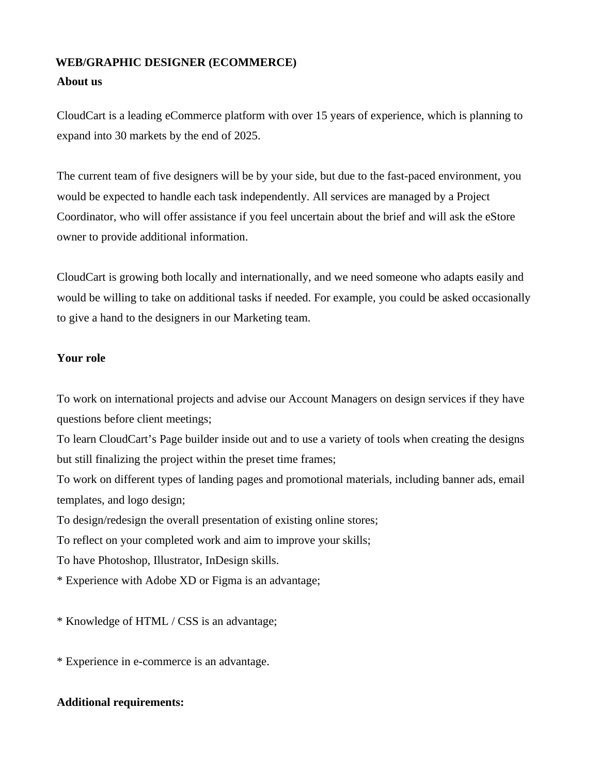## **WEB/GRAPHIC DESIGNER (ECOMMERCE)**

## **About us**

CloudCart is a leading eCommerce platform with over 15 years of experience, which is planning to expand into 30 markets by the end of 2025.

The current team of five designers will be by your side, but due to the fast-paced environment, you would be expected to handle each task independently. All services are managed by a Project Coordinator, who will offer assistance if you feel uncertain about the brief and will ask the eStore owner to provide additional information.

CloudCart is growing both locally and internationally, and we need someone who adapts easily and would be willing to take on additional tasks if needed. For example, you could be asked occasionally to give a hand to the designers in our Marketing team.

## **Your role**

To work on international projects and advise our Account Managers on design services if they have questions before client meetings;

To learn CloudCart's Page builder inside out and to use a variety of tools when creating the designs but still finalizing the project within the preset time frames;

To work on different types of landing pages and promotional materials, including banner ads, email templates, and logo design;

To design/redesign the overall presentation of existing online stores;

To reflect on your completed work and aim to improve your skills;

To have Photoshop, Illustrator, InDesign skills.

\* Experience with Adobe XD or Figma is an advantage;

\* Knowledge of HTML / CSS is an advantage;

\* Experience in e-commerce is an advantage.

## **Additional requirements:**